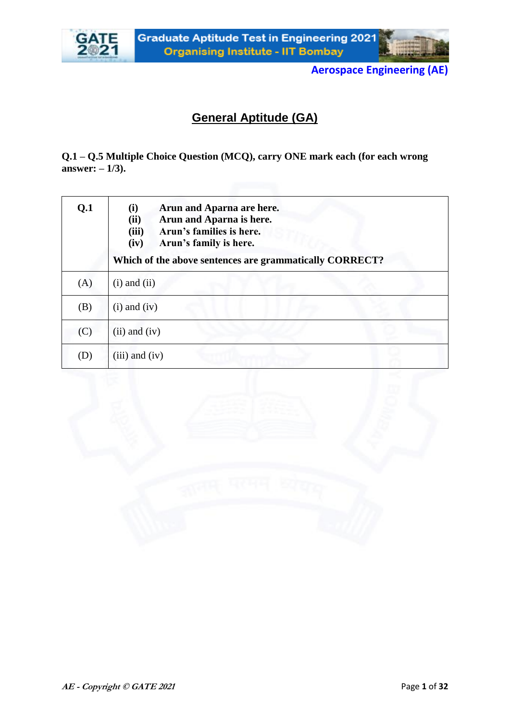



## **General Aptitude (GA)**

**Q.1 – Q.5 Multiple Choice Question (MCQ), carry ONE mark each (for each wrong answer:**  $-1/3$ ).

| Q.1                        | (i)<br>Arun and Aparna are here.<br>Arun and Aparna is here.<br>(ii)<br>(iii)<br>Arun's families is here.<br>(iv)<br>Arun's family is here.<br>Which of the above sentences are grammatically CORRECT? |
|----------------------------|--------------------------------------------------------------------------------------------------------------------------------------------------------------------------------------------------------|
| (A)                        | $(i)$ and $(ii)$                                                                                                                                                                                       |
| (B)                        | $(i)$ and $(iv)$                                                                                                                                                                                       |
| (C)                        | $(ii)$ and $(iv)$                                                                                                                                                                                      |
| $\left( \mathrm{D}\right)$ | $(iii)$ and $(iv)$                                                                                                                                                                                     |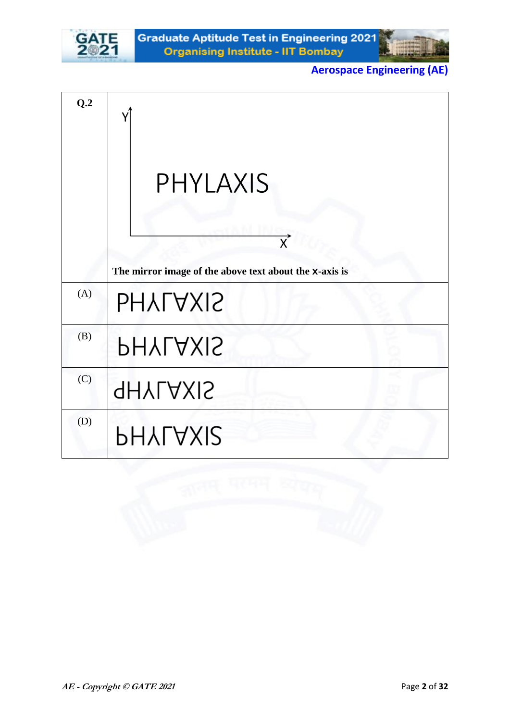



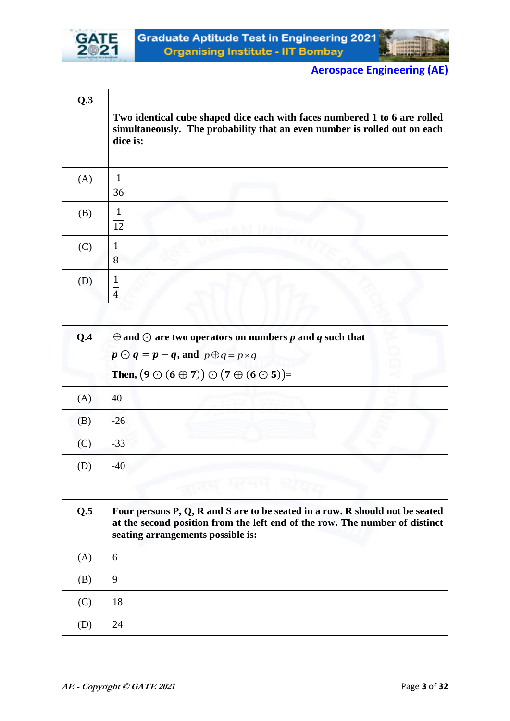



| Q.3 | Two identical cube shaped dice each with faces numbered 1 to 6 are rolled<br>simultaneously. The probability that an even number is rolled out on each<br>dice is: |
|-----|--------------------------------------------------------------------------------------------------------------------------------------------------------------------|
| (A) | 36                                                                                                                                                                 |
| (B) | $\mathbf{1}$<br>$\overline{12}$                                                                                                                                    |
| (C) | $\overline{8}$                                                                                                                                                     |
| (D) | 4                                                                                                                                                                  |

| Q.4 | $\oplus$ and $\odot$ are two operators on numbers p and q such that    |
|-----|------------------------------------------------------------------------|
|     | $p \bigodot q = p - q$ , and $p \bigoplus q = p \times q$              |
|     | Then, $(9 \bigcirc (6 \oplus 7)) \bigcirc (7 \oplus (6 \bigcirc 5)) =$ |
| (A) | 40                                                                     |
| (B) | $-26$                                                                  |
| (C) | $-33$                                                                  |
| D)  | $-40$                                                                  |

| Q.5 | Four persons P, Q, R and S are to be seated in a row. R should not be seated<br>at the second position from the left end of the row. The number of distinct<br>seating arrangements possible is: |
|-----|--------------------------------------------------------------------------------------------------------------------------------------------------------------------------------------------------|
| (A) | 6                                                                                                                                                                                                |
| (B) | 9                                                                                                                                                                                                |
| (C) | 18                                                                                                                                                                                               |
|     | 24                                                                                                                                                                                               |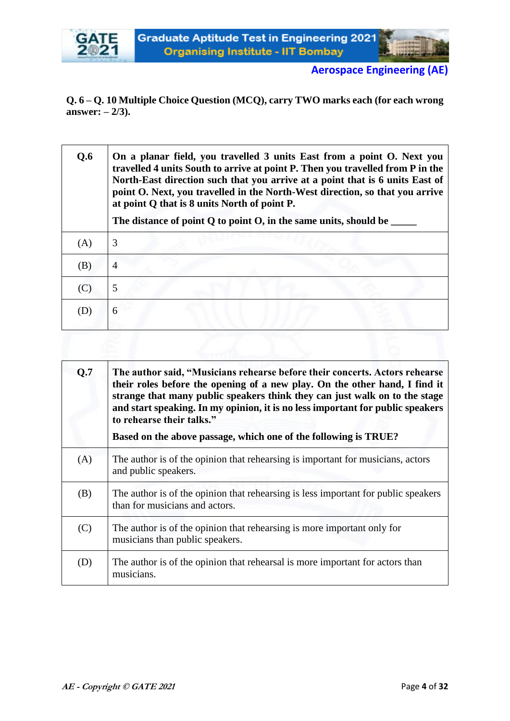



**Q. 6 – Q. 10 Multiple Choice Question (MCQ), carry TWO marks each (for each wrong answer: – 2/3).**

| Q.6 | On a planar field, you travelled 3 units East from a point O. Next you<br>travelled 4 units South to arrive at point P. Then you travelled from P in the<br>North-East direction such that you arrive at a point that is 6 units East of<br>point O. Next, you travelled in the North-West direction, so that you arrive<br>at point Q that is 8 units North of point P.<br>The distance of point Q to point O, in the same units, should be |
|-----|----------------------------------------------------------------------------------------------------------------------------------------------------------------------------------------------------------------------------------------------------------------------------------------------------------------------------------------------------------------------------------------------------------------------------------------------|
| (A) | 3                                                                                                                                                                                                                                                                                                                                                                                                                                            |
| (B) | 4                                                                                                                                                                                                                                                                                                                                                                                                                                            |
| (C) | 5                                                                                                                                                                                                                                                                                                                                                                                                                                            |
| (D) | 6                                                                                                                                                                                                                                                                                                                                                                                                                                            |
|     |                                                                                                                                                                                                                                                                                                                                                                                                                                              |

| Q.7 | The author said, "Musicians rehearse before their concerts. Actors rehearse<br>their roles before the opening of a new play. On the other hand, I find it<br>strange that many public speakers think they can just walk on to the stage<br>and start speaking. In my opinion, it is no less important for public speakers<br>to rehearse their talks."<br>Based on the above passage, which one of the following is TRUE? |
|-----|---------------------------------------------------------------------------------------------------------------------------------------------------------------------------------------------------------------------------------------------------------------------------------------------------------------------------------------------------------------------------------------------------------------------------|
| (A) | The author is of the opinion that rehearsing is important for musicians, actors<br>and public speakers.                                                                                                                                                                                                                                                                                                                   |
| (B) | The author is of the opinion that rehearing is less important for public speakers<br>than for musicians and actors.                                                                                                                                                                                                                                                                                                       |
| (C) | The author is of the opinion that rehearing is more important only for<br>musicians than public speakers.                                                                                                                                                                                                                                                                                                                 |
| (D) | The author is of the opinion that rehearsal is more important for actors than<br>musicians.                                                                                                                                                                                                                                                                                                                               |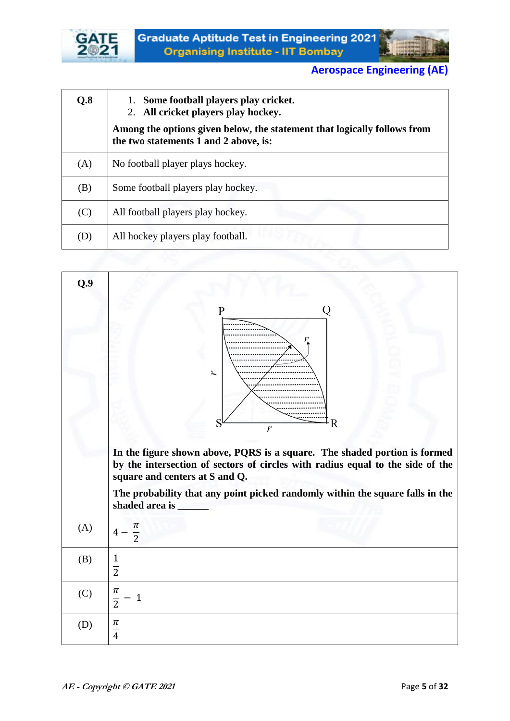



| Q.8 | 1. Some football players play cricket.<br>2. All cricket players play hockey.                                     |
|-----|-------------------------------------------------------------------------------------------------------------------|
|     | Among the options given below, the statement that logically follows from<br>the two statements 1 and 2 above, is: |
| (A) | No football player plays hockey.                                                                                  |
| (B) | Some football players play hockey.                                                                                |
| (C) | All football players play hockey.                                                                                 |
| (D) | All hockey players play football.                                                                                 |

| Q.9 |                                                                                                                                                                                               |
|-----|-----------------------------------------------------------------------------------------------------------------------------------------------------------------------------------------------|
|     | О<br>P<br>$\overline{\phantom{a}}$<br>S<br>R<br>r                                                                                                                                             |
|     | In the figure shown above, PQRS is a square. The shaded portion is formed<br>by the intersection of sectors of circles with radius equal to the side of the<br>square and centers at S and Q. |
|     | The probability that any point picked randomly within the square falls in the<br>shaded area is ______                                                                                        |
| (A) | π<br>$\frac{1}{2}$                                                                                                                                                                            |
| (B) | 1<br>$\overline{2}$                                                                                                                                                                           |
| (C) | π<br>$\mathbf{1}$<br>$\overline{2}$                                                                                                                                                           |
| (D) | $\pi$<br>$\overline{4}$                                                                                                                                                                       |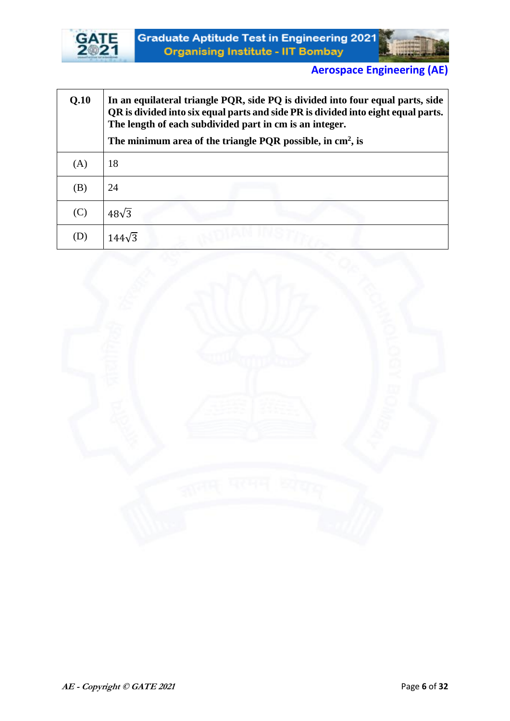



| Q.10 | In an equilateral triangle PQR, side PQ is divided into four equal parts, side<br>QR is divided into six equal parts and side PR is divided into eight equal parts.<br>The length of each subdivided part in cm is an integer.<br>The minimum area of the triangle PQR possible, in $\text{cm}^2$ , is |
|------|--------------------------------------------------------------------------------------------------------------------------------------------------------------------------------------------------------------------------------------------------------------------------------------------------------|
| (A)  | 18                                                                                                                                                                                                                                                                                                     |
| (B)  | 24                                                                                                                                                                                                                                                                                                     |
| (C)  | $48\sqrt{3}$                                                                                                                                                                                                                                                                                           |
| (D)  |                                                                                                                                                                                                                                                                                                        |

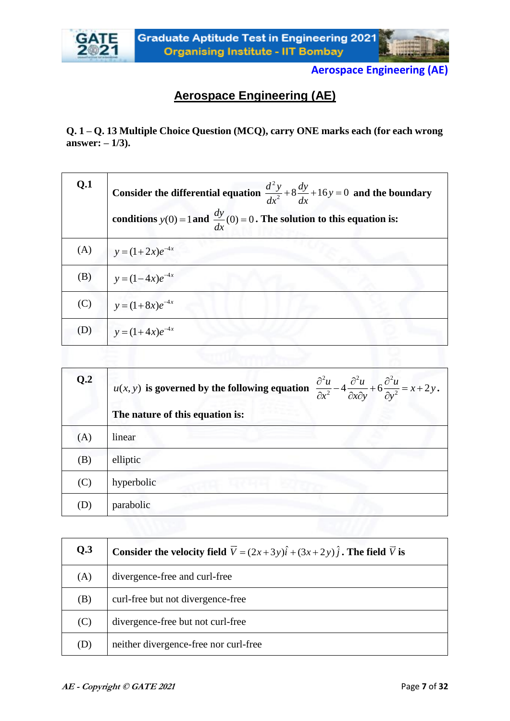



# **Aerospace Engineering (AE)**

**Q. 1 – Q. 13 Multiple Choice Question (MCQ), carry ONE marks each (for each wrong answer: – 1/3).**

| Q <sub>1</sub> | Consider the differential equation $\frac{d^2 y}{dx^2} + 8\frac{dy}{dx} + 16y = 0$ and the boundary<br>conditions $y(0) = 1$ and $\frac{dy}{dx}(0) = 0$ . The solution to this equation is: |
|----------------|---------------------------------------------------------------------------------------------------------------------------------------------------------------------------------------------|
| (A)            | $y = (1+2x)e^{-4x}$                                                                                                                                                                         |
| (B)            | $y=(1-4x)e^{-4x}$                                                                                                                                                                           |
| (C)            | $y = (1+8x)e^{-4x}$                                                                                                                                                                         |
| (D)            | $y = (1+4x)e^{-4x}$                                                                                                                                                                         |

| Q.2 | $u(x, y)$ is governed by the following equation $\frac{\partial^2 u}{\partial x^2} - 4 \frac{\partial^2 u}{\partial x \partial y} + 6 \frac{\partial^2 u}{\partial y^2} = x + 2y$ . |
|-----|-------------------------------------------------------------------------------------------------------------------------------------------------------------------------------------|
|     | The nature of this equation is:                                                                                                                                                     |
| (A) | linear                                                                                                                                                                              |
| (B) | elliptic                                                                                                                                                                            |
| (C) | hyperbolic                                                                                                                                                                          |
| D)  | parabolic                                                                                                                                                                           |

| Q.3 | Consider the velocity field $\vec{V} = (2x+3y)\hat{i} + (3x+2y)\hat{j}$ . The field $\vec{V}$ is |
|-----|--------------------------------------------------------------------------------------------------|
| (A) | divergence-free and curl-free                                                                    |
| (B) | curl-free but not divergence-free                                                                |
| (C) | divergence-free but not curl-free                                                                |
| (D) | neither divergence-free nor curl-free                                                            |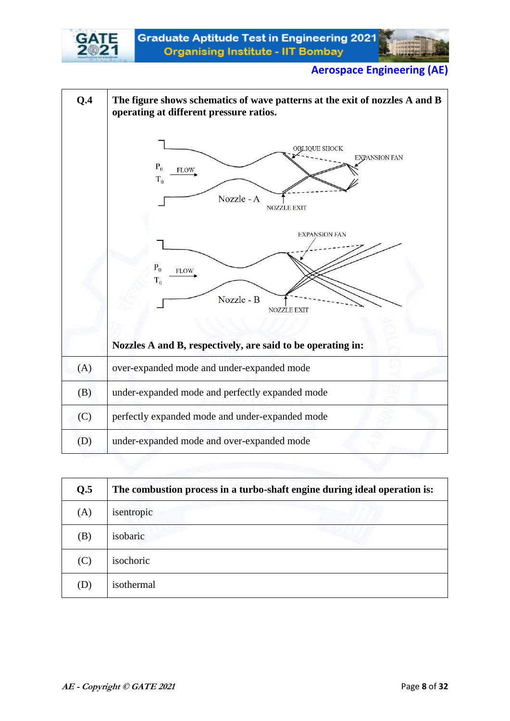



# **Q.4 The figure shows schematics of wave patterns at the exit of nozzles A and B operating at different pressure ratios. OBLIQUE SHOCK EXPANSION FAN**  $P_0$ **FLOW**  $T<sub>0</sub>$ Nozzle - A NOZZLE EXIT **EXPANSION FAN**  $P_0$ **FLOW**  $T_0$ Nozzle - B NOZZLE EXIT **Nozzles A and B, respectively, are said to be operating in:** (A) over-expanded mode and under-expanded mode (B) under-expanded mode and perfectly expanded mode (C) perfectly expanded mode and under-expanded mode (D) under-expanded mode and over-expanded mode

| Q.5 | The combustion process in a turbo-shaft engine during ideal operation is: |
|-----|---------------------------------------------------------------------------|
| (A) | isentropic                                                                |
| (B) | isobaric                                                                  |
| (C) | isochoric                                                                 |
| (D) | isothermal                                                                |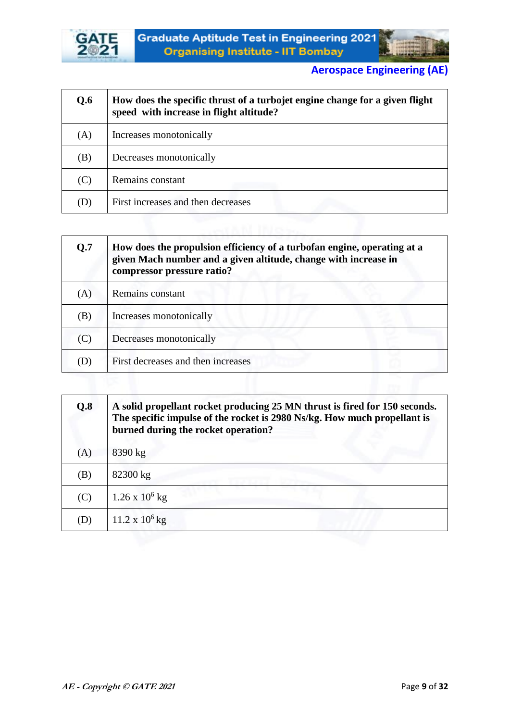



| Q.6 | How does the specific thrust of a turbojet engine change for a given flight<br>speed with increase in flight altitude? |
|-----|------------------------------------------------------------------------------------------------------------------------|
| (A) | Increases monotonically                                                                                                |
| (B) | Decreases monotonically                                                                                                |
| (C) | Remains constant                                                                                                       |
| (D) | First increases and then decreases                                                                                     |
|     |                                                                                                                        |

| Q.7 | How does the propulsion efficiency of a turbofan engine, operating at a<br>given Mach number and a given altitude, change with increase in<br>compressor pressure ratio? |
|-----|--------------------------------------------------------------------------------------------------------------------------------------------------------------------------|
| (A) | Remains constant                                                                                                                                                         |
| (B) | Increases monotonically                                                                                                                                                  |
| (C) | Decreases monotonically                                                                                                                                                  |
| (D) | First decreases and then increases                                                                                                                                       |

| Q.8 | A solid propellant rocket producing 25 MN thrust is fired for 150 seconds.<br>The specific impulse of the rocket is 2980 Ns/kg. How much propellant is<br>burned during the rocket operation? |
|-----|-----------------------------------------------------------------------------------------------------------------------------------------------------------------------------------------------|
| (A) | 8390 kg                                                                                                                                                                                       |
| (B) | 82300 kg                                                                                                                                                                                      |
| (C) | $1.26 \times 10^6$ kg                                                                                                                                                                         |
| (D) | $11.2 \times 10^6$ kg                                                                                                                                                                         |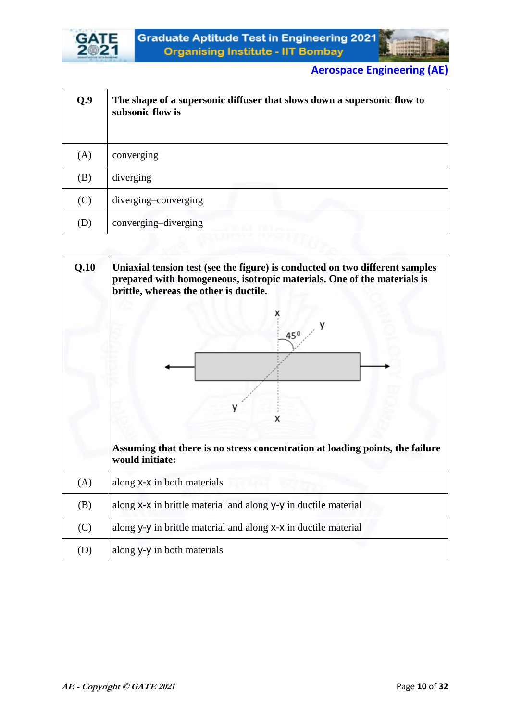



| Q.9 | The shape of a supersonic diffuser that slows down a supersonic flow to<br>subsonic flow is |
|-----|---------------------------------------------------------------------------------------------|
| (A) | converging                                                                                  |
| (B) | diverging                                                                                   |
| (C) | diverging-converging                                                                        |
| (D) | converging-diverging                                                                        |

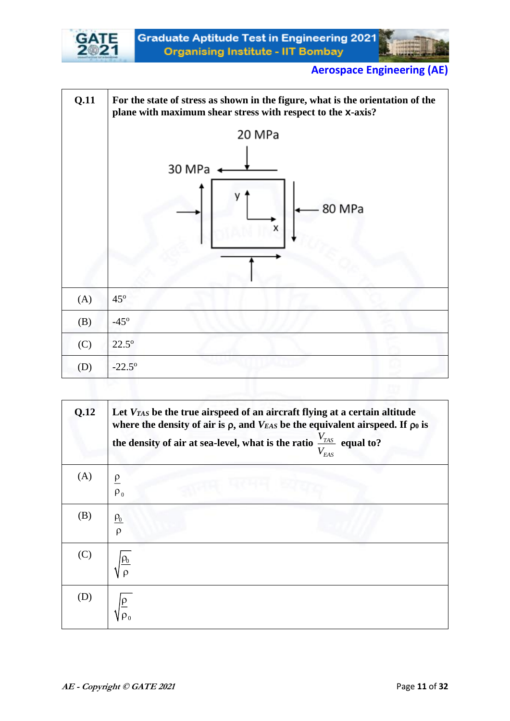





| Q.12 | Let $V_{TAS}$ be the true airspeed of an aircraft flying at a certain altitude<br>where the density of air is $\rho$ , and $V_{EAS}$ be the equivalent airspeed. If $\rho_0$ is<br>the density of air at sea-level, what is the ratio $\frac{V_{TAS}}{V_{EAS}}$ equal to? |
|------|---------------------------------------------------------------------------------------------------------------------------------------------------------------------------------------------------------------------------------------------------------------------------|
| (A)  | $\rho_0$                                                                                                                                                                                                                                                                  |
| (B)  | $\rho_{0}$<br>Ø                                                                                                                                                                                                                                                           |
| (C)  |                                                                                                                                                                                                                                                                           |
| (D)  |                                                                                                                                                                                                                                                                           |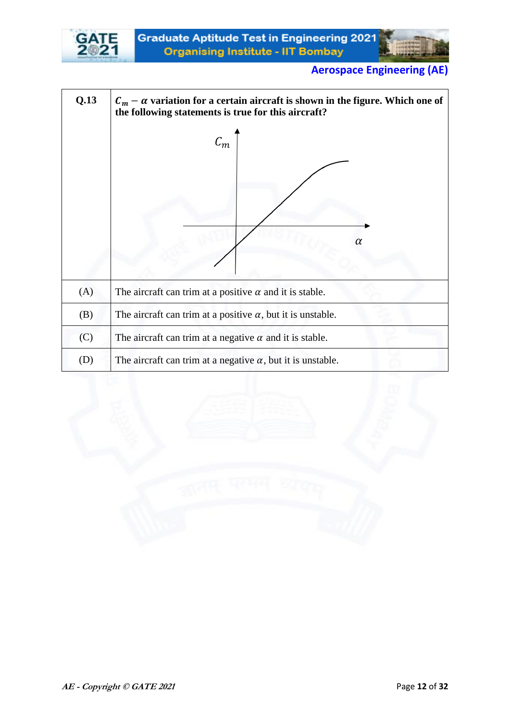



| Q.13 | $C_m - \alpha$ variation for a certain aircraft is shown in the figure. Which one of<br>the following statements is true for this aircraft? |
|------|---------------------------------------------------------------------------------------------------------------------------------------------|
|      | $\mathcal{C}_m$<br>α                                                                                                                        |
| (A)  | The aircraft can trim at a positive $\alpha$ and it is stable.                                                                              |
| (B)  | The aircraft can trim at a positive $\alpha$ , but it is unstable.                                                                          |
| (C)  | The aircraft can trim at a negative $\alpha$ and it is stable.                                                                              |
| (D)  | The aircraft can trim at a negative $\alpha$ , but it is unstable.                                                                          |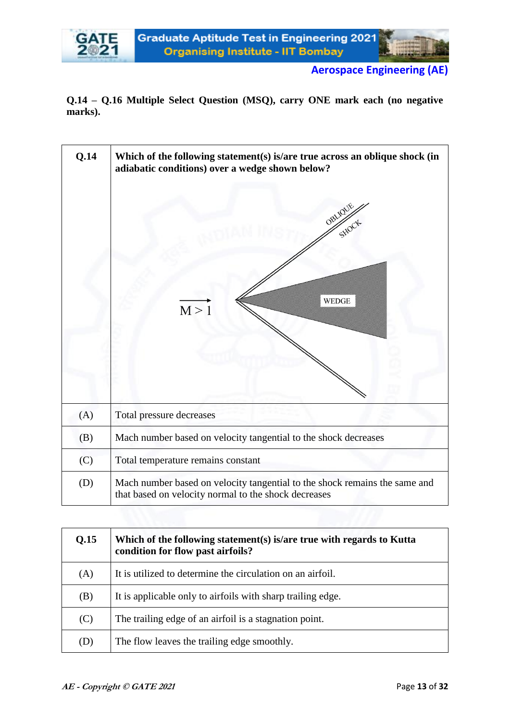

**Q.14 – Q.16 Multiple Select Question (MSQ), carry ONE mark each (no negative marks).**



| Q.15 | Which of the following statement(s) is/are true with regards to Kutta<br>condition for flow past airfoils? |
|------|------------------------------------------------------------------------------------------------------------|
| (A)  | It is utilized to determine the circulation on an airfoil.                                                 |
| (B)  | It is applicable only to airfoils with sharp trailing edge.                                                |
| (C)  | The trailing edge of an airfoil is a stagnation point.                                                     |
| (D)  | The flow leaves the trailing edge smoothly.                                                                |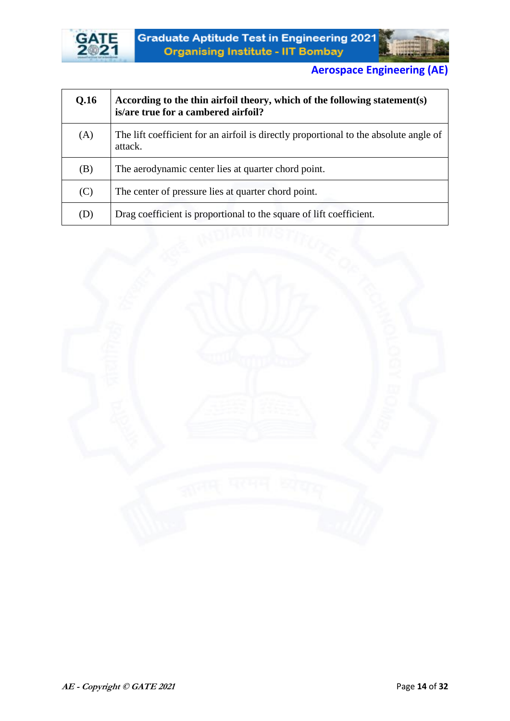



| Q.16 | According to the thin airfoil theory, which of the following statement(s)<br>is/are true for a cambered airfoil? |
|------|------------------------------------------------------------------------------------------------------------------|
| (A)  | The lift coefficient for an airfoil is directly proportional to the absolute angle of<br>attack.                 |
| (B)  | The aerodynamic center lies at quarter chord point.                                                              |
| (C)  | The center of pressure lies at quarter chord point.                                                              |
| (D)  | Drag coefficient is proportional to the square of lift coefficient.                                              |

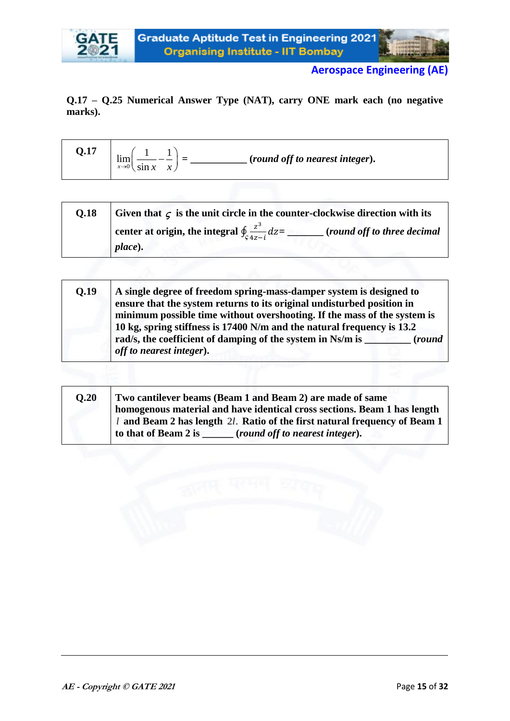



#### **Q.17 – Q.25 Numerical Answer Type (NAT), carry ONE mark each (no negative marks).**

| Q.17 | <b>Contract Contract</b><br>(round off to nearest integer).<br>lım<br>-<br>-<br>$x \rightarrow 0$ $\sin x$ $x$ |
|------|----------------------------------------------------------------------------------------------------------------|
|------|----------------------------------------------------------------------------------------------------------------|

| <b>O.18</b> | Given that $\zeta$ is the unit circle in the counter-clockwise direction with its               |
|-------------|-------------------------------------------------------------------------------------------------|
|             | center at origin, the integral $\oint_{c} \frac{z^3}{4z-i} dz =$<br>(round off to three decimal |
|             | place).                                                                                         |

| 0.19 | A single degree of freedom spring-mass-damper system is designed to<br>ensure that the system returns to its original undisturbed position in      |
|------|----------------------------------------------------------------------------------------------------------------------------------------------------|
|      | minimum possible time without overshooting. If the mass of the system is<br>10 kg, spring stiffness is 17400 N/m and the natural frequency is 13.2 |
|      | rad/s, the coefficient of damping of the system in Ns/m is<br><i>(round)</i><br>off to nearest integer).                                           |

| O.20 | Two cantilever beams (Beam 1 and Beam 2) are made of same<br>homogenous material and have identical cross sections. Beam 1 has length |
|------|---------------------------------------------------------------------------------------------------------------------------------------|
|      | l and Beam 2 has length 2l. Ratio of the first natural frequency of Beam 1                                                            |
|      | to that of Beam 2 is<br>(round off to nearest integer).                                                                               |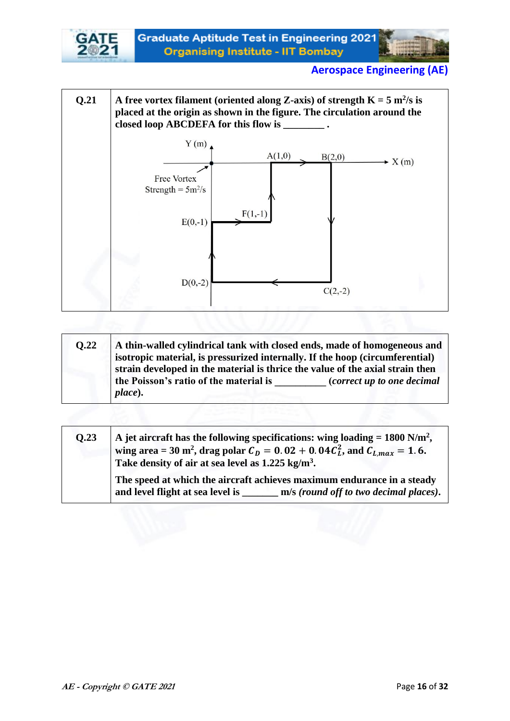







| <b>O.22</b> | A thin-walled cylindrical tank with closed ends, made of homogeneous and<br>isotropic material, is pressurized internally. If the hoop (circumferential)<br>strain developed in the material is thrice the value of the axial strain then |                            |  |  |
|-------------|-------------------------------------------------------------------------------------------------------------------------------------------------------------------------------------------------------------------------------------------|----------------------------|--|--|
|             | the Poisson's ratio of the material is<br>place).                                                                                                                                                                                         | (correct up to one decimal |  |  |

| 0.23 | A jet aircraft has the following specifications: wing loading = $1800$ N/m <sup>2</sup> ,<br>wing area = 30 m <sup>2</sup> , drag polar $C_D = 0.02 + 0.04 C_L^2$ , and $C_{Lmax} = 1.6$ .<br>Take density of air at sea level as 1.225 kg/m <sup>3</sup> . |
|------|-------------------------------------------------------------------------------------------------------------------------------------------------------------------------------------------------------------------------------------------------------------|
|      | The speed at which the aircraft achieves maximum endurance in a steady<br>and level flight at sea level is<br>m/s (round off to two decimal places).                                                                                                        |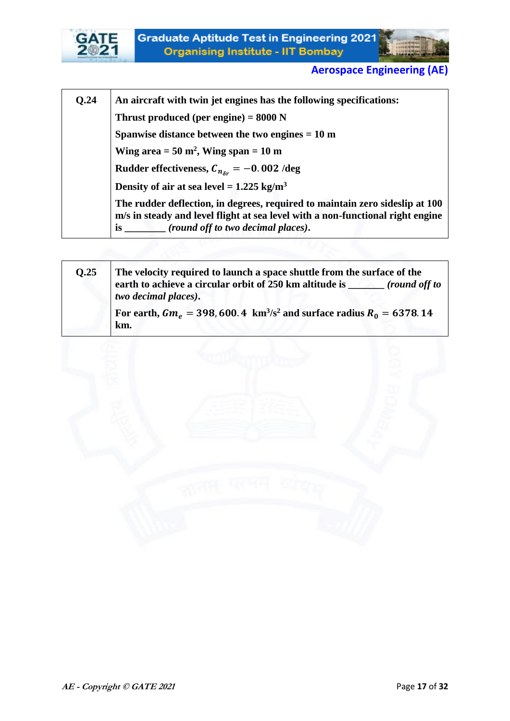

| <b>O.24</b> | An aircraft with twin jet engines has the following specifications:                                                                                                                                             |  |  |  |  |  |
|-------------|-----------------------------------------------------------------------------------------------------------------------------------------------------------------------------------------------------------------|--|--|--|--|--|
|             | Thrust produced (per engine) = $8000$ N                                                                                                                                                                         |  |  |  |  |  |
|             | Spanwise distance between the two engines $= 10$ m                                                                                                                                                              |  |  |  |  |  |
|             | Wing area $= 50$ m <sup>2</sup> , Wing span $= 10$ m                                                                                                                                                            |  |  |  |  |  |
|             | Rudder effectiveness, $C_{n_{\delta r}} = -0.002$ /deg                                                                                                                                                          |  |  |  |  |  |
|             | Density of air at sea level = $1.225 \text{ kg/m}^3$                                                                                                                                                            |  |  |  |  |  |
|             | The rudder deflection, in degrees, required to maintain zero sideslip at 100<br>m/s in steady and level flight at sea level with a non-functional right engine<br>is _______ (round off to two decimal places). |  |  |  |  |  |

| 0.25 | The velocity required to launch a space shuttle from the surface of the<br>earth to achieve a circular orbit of 250 km altitude is<br>(round off to<br>two decimal places). |  |  |
|------|-----------------------------------------------------------------------------------------------------------------------------------------------------------------------------|--|--|
|      | For earth, $Gm_e = 398,600.4 \text{ km}^3/\text{s}^2$ and surface radius $R_0 = 6378.14$<br>km.                                                                             |  |  |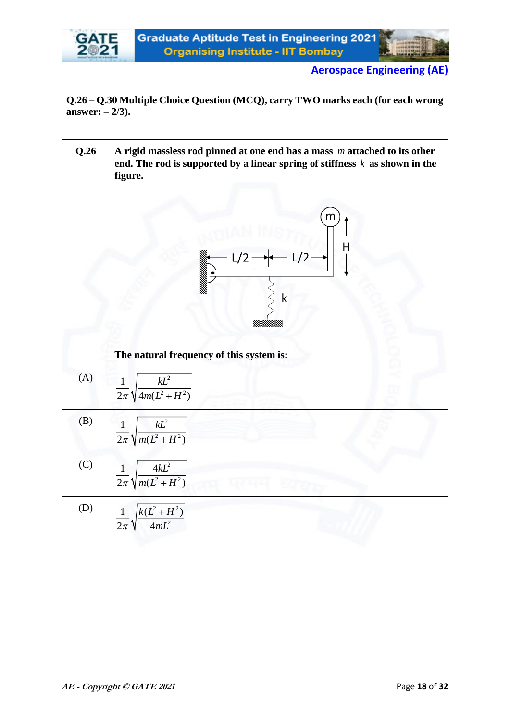

**Q.26 – Q.30 Multiple Choice Question (MCQ), carry TWO marks each (for each wrong answer: – 2/3).**

| Q.26 | A rigid massless rod pinned at one end has a mass $m$ attached to its other<br>end. The rod is supported by a linear spring of stiffness $k$ as shown in the<br>figure.<br>m<br>Н<br>/2<br>k |
|------|----------------------------------------------------------------------------------------------------------------------------------------------------------------------------------------------|
|      | The natural frequency of this system is:                                                                                                                                                     |
| (A)  | $\frac{1}{2\pi}\sqrt{\frac{kL^2}{4m(L^2+H^2)}}$                                                                                                                                              |
| (B)  | $\frac{1}{2\pi}\sqrt{\frac{kL^2}{m(L^2+H^2)}}$                                                                                                                                               |
| (C)  | $\frac{1}{2\pi}\sqrt{\frac{4kL^2}{m(L^2+H^2)}}$                                                                                                                                              |
| (D)  | $\frac{1}{2\pi}\sqrt{\frac{k(L^2+H^2)}{4mL^2}}$                                                                                                                                              |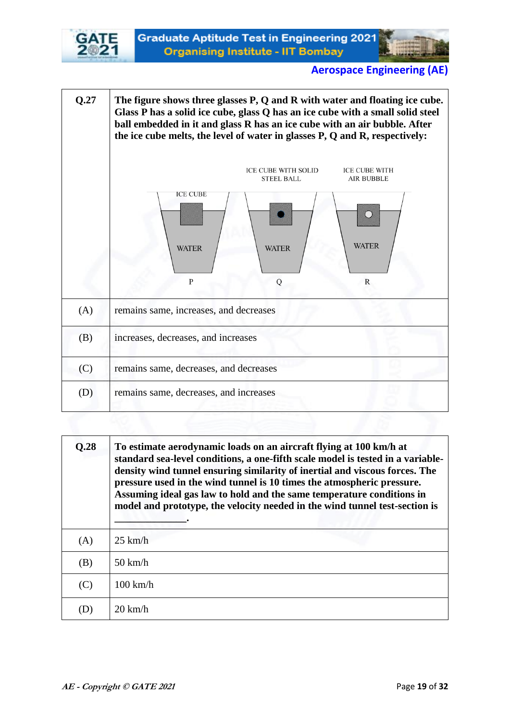



| 0.28 | To estimate aerodynamic loads on an aircraft flying at 100 km/h at<br>standard sea-level conditions, a one-fifth scale model is tested in a variable-<br>density wind tunnel ensuring similarity of inertial and viscous forces. The<br>pressure used in the wind tunnel is 10 times the atmospheric pressure.<br>Assuming ideal gas law to hold and the same temperature conditions in<br>model and prototype, the velocity needed in the wind tunnel test-section is |
|------|------------------------------------------------------------------------------------------------------------------------------------------------------------------------------------------------------------------------------------------------------------------------------------------------------------------------------------------------------------------------------------------------------------------------------------------------------------------------|
| (A)  | $25 \text{ km/h}$                                                                                                                                                                                                                                                                                                                                                                                                                                                      |
| (B)  | $50 \text{ km/h}$                                                                                                                                                                                                                                                                                                                                                                                                                                                      |
| (C)  | $100 \text{ km/h}$                                                                                                                                                                                                                                                                                                                                                                                                                                                     |
| D)   | $20 \text{ km/h}$                                                                                                                                                                                                                                                                                                                                                                                                                                                      |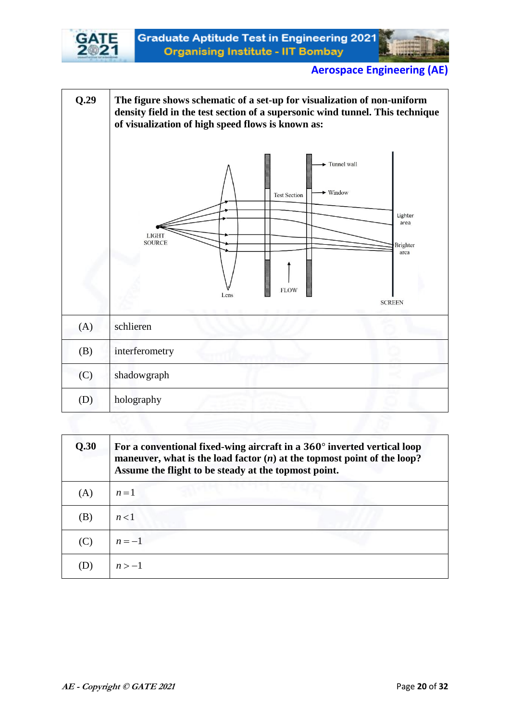



| Q.29 | The figure shows schematic of a set-up for visualization of non-uniform<br>density field in the test section of a supersonic wind tunnel. This technique<br>of visualization of high speed flows is known as: |  |  |  |  |
|------|---------------------------------------------------------------------------------------------------------------------------------------------------------------------------------------------------------------|--|--|--|--|
|      | Tunnel wall<br>$\blacktriangleright$ Window<br><b>Test Section</b><br>Lighter<br>area<br><b>LIGHT</b><br><b>SOURCE</b><br>Brighter<br>arca<br><b>FLOW</b><br>Lens<br><b>SCREEN</b>                            |  |  |  |  |
| (A)  | schlieren                                                                                                                                                                                                     |  |  |  |  |
| (B)  | interferometry                                                                                                                                                                                                |  |  |  |  |
| (C)  | shadowgraph                                                                                                                                                                                                   |  |  |  |  |
| (D)  | holography                                                                                                                                                                                                    |  |  |  |  |

| Q.30 | For a conventional fixed-wing aircraft in a 360° inverted vertical loop<br>maneuver, what is the load factor $(n)$ at the topmost point of the loop?<br>Assume the flight to be steady at the topmost point. |  |  |  |
|------|--------------------------------------------------------------------------------------------------------------------------------------------------------------------------------------------------------------|--|--|--|
| (A)  | $n=1$                                                                                                                                                                                                        |  |  |  |
| (B)  | n<1                                                                                                                                                                                                          |  |  |  |
| (C)  | $n=-1$                                                                                                                                                                                                       |  |  |  |
|      | $n > -1$                                                                                                                                                                                                     |  |  |  |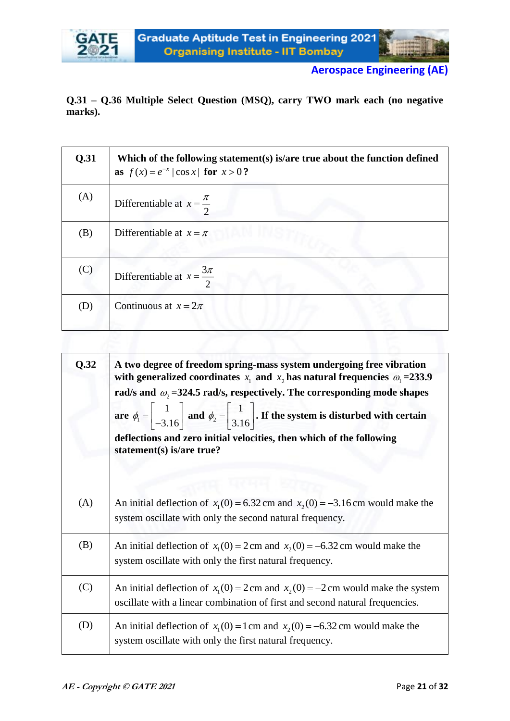**Q.31 – Q.36 Multiple Select Question (MSQ), carry TWO mark each (no negative marks).**

| Q.31 | Which of the following statement(s) is/are true about the function defined<br>as $f(x) = e^{-x}  \cos x $ for $x > 0$ ? |  |  |  |
|------|-------------------------------------------------------------------------------------------------------------------------|--|--|--|
| (A)  | Differentiable at $x = \frac{\pi}{2}$                                                                                   |  |  |  |
| (B)  | Differentiable at $x = \pi$                                                                                             |  |  |  |
| (C)  | Differentiable at $x = \frac{3\pi}{2}$<br>$\mathcal{D}_{\mathcal{L}}$                                                   |  |  |  |
| (D)  | Continuous at $x = 2\pi$                                                                                                |  |  |  |

| Q.32 | A two degree of freedom spring-mass system undergoing free vibration<br>with generalized coordinates $x_1$ and $x_2$ has natural frequencies $\omega_1 = 233.9$<br>rad/s and $\omega_2$ =324.5 rad/s, respectively. The corresponding mode shapes<br>are $\phi_1 = \begin{vmatrix} 1 \\ -3.16 \end{vmatrix}$ and $\phi_2 = \begin{vmatrix} 1 \\ 3.16 \end{vmatrix}$ . If the system is disturbed with certain<br>deflections and zero initial velocities, then which of the following<br>statement(s) is/are true? |
|------|--------------------------------------------------------------------------------------------------------------------------------------------------------------------------------------------------------------------------------------------------------------------------------------------------------------------------------------------------------------------------------------------------------------------------------------------------------------------------------------------------------------------|
| (A)  | An initial deflection of $x_1(0) = 6.32$ cm and $x_2(0) = -3.16$ cm would make the<br>system oscillate with only the second natural frequency.                                                                                                                                                                                                                                                                                                                                                                     |
| (B)  | An initial deflection of $x_1(0) = 2$ cm and $x_2(0) = -6.32$ cm would make the<br>system oscillate with only the first natural frequency.                                                                                                                                                                                                                                                                                                                                                                         |
| (C)  | An initial deflection of $x_1(0) = 2$ cm and $x_2(0) = -2$ cm would make the system<br>oscillate with a linear combination of first and second natural frequencies.                                                                                                                                                                                                                                                                                                                                                |
| (D)  | An initial deflection of $x_1(0) = 1$ cm and $x_2(0) = -6.32$ cm would make the<br>system oscillate with only the first natural frequency.                                                                                                                                                                                                                                                                                                                                                                         |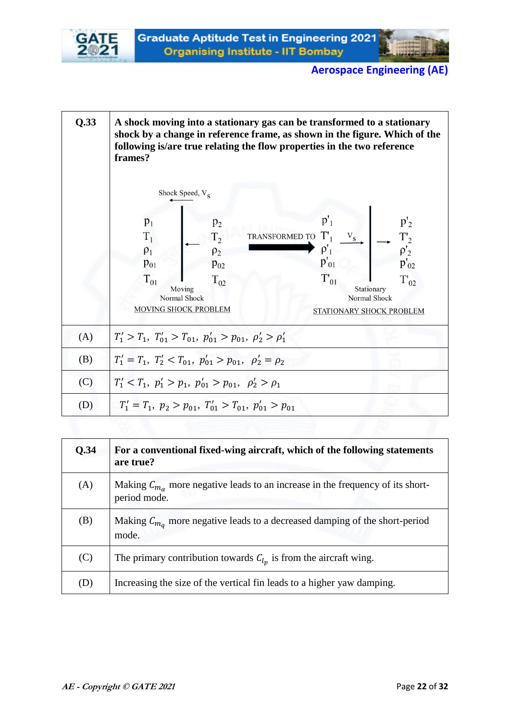



| Q.33 | A shock moving into a stationary gas can be transformed to a stationary<br>shock by a change in reference frame, as shown in the figure. Which of the<br>following is/are true relating the flow properties in the two reference<br>frames? |                            |                             |                                                                    |  |  |
|------|---------------------------------------------------------------------------------------------------------------------------------------------------------------------------------------------------------------------------------------------|----------------------------|-----------------------------|--------------------------------------------------------------------|--|--|
|      | Shock Speed, V <sub>S</sub>                                                                                                                                                                                                                 |                            |                             |                                                                    |  |  |
|      | $p_1$                                                                                                                                                                                                                                       | $p_2$                      | $p'_1$                      | $p'_2$                                                             |  |  |
|      | $T_1$<br>$\rho_1$                                                                                                                                                                                                                           | T <sub>2</sub><br>$\rho_2$ | TRANSFORMED TO<br>$\rho'_1$ | $p'_2$                                                             |  |  |
|      | $p_{01}$                                                                                                                                                                                                                                    | $p_{02}$                   | $p_{01}'$                   | $p'_{02}$                                                          |  |  |
|      | $T_{01}$<br>$T_{02}$<br>Moving<br>Normal Shock<br>MOVING SHOCK PROBLEM                                                                                                                                                                      |                            | $T_{01}$                    | $T_{02}$<br>Stationary<br>Normal Shock<br>STATIONARY SHOCK PROBLEM |  |  |
| (A)  | $T'_1 > T_1$ , $T'_{01} > T_{01}$ , $p'_{01} > p_{01}$ , $\rho'_2 > \rho'_1$                                                                                                                                                                |                            |                             |                                                                    |  |  |
| (B)  | $T_1' = T_1, T_2' < T_{01}, p_{01}' > p_{01}, \ \rho_2' = \rho_2$                                                                                                                                                                           |                            |                             |                                                                    |  |  |
| (C)  | $T'_1 < T_1, p'_1 > p_1, p'_{01} > p_{01}, p'_2 > \rho_1$                                                                                                                                                                                   |                            |                             |                                                                    |  |  |
| (D)  | $T_1' = T_1, p_2 > p_{01}, T_{01}' > T_{01}, p_{01}' > p_{01}$                                                                                                                                                                              |                            |                             |                                                                    |  |  |

| Q.34 | For a conventional fixed-wing aircraft, which of the following statements<br>are true?                    |
|------|-----------------------------------------------------------------------------------------------------------|
| (A)  | Making $C_{m_{\alpha}}$ more negative leads to an increase in the frequency of its short-<br>period mode. |
| (B)  | Making $C_{m_q}$ more negative leads to a decreased damping of the short-period<br>mode.                  |
| (C)  | The primary contribution towards $C_{l_n}$ is from the aircraft wing.                                     |
| (D)  | Increasing the size of the vertical fin leads to a higher yaw damping.                                    |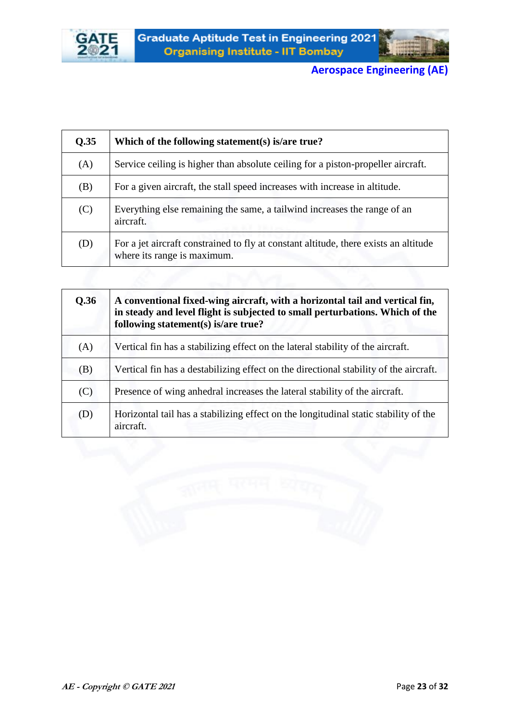



| Q.35 | Which of the following statement(s) is/are true?                                                                    |
|------|---------------------------------------------------------------------------------------------------------------------|
| (A)  | Service ceiling is higher than absolute ceiling for a piston-propeller aircraft.                                    |
| (B)  | For a given aircraft, the stall speed increases with increase in altitude.                                          |
| (C)  | Everything else remaining the same, a tailwind increases the range of an<br>aircraft.                               |
| (D)  | For a jet aircraft constrained to fly at constant altitude, there exists an altitude<br>where its range is maximum. |
|      |                                                                                                                     |

| Q.36 | A conventional fixed-wing aircraft, with a horizontal tail and vertical fin,<br>in steady and level flight is subjected to small perturbations. Which of the<br>following statement(s) is/are true? |
|------|-----------------------------------------------------------------------------------------------------------------------------------------------------------------------------------------------------|
| (A)  | Vertical fin has a stabilizing effect on the lateral stability of the aircraft.                                                                                                                     |
| (B)  | Vertical fin has a destabilizing effect on the directional stability of the aircraft.                                                                                                               |
| (C)  | Presence of wing annedral increases the lateral stability of the aircraft.                                                                                                                          |
| (D)  | Horizontal tail has a stabilizing effect on the longitudinal static stability of the<br>aircraft.                                                                                                   |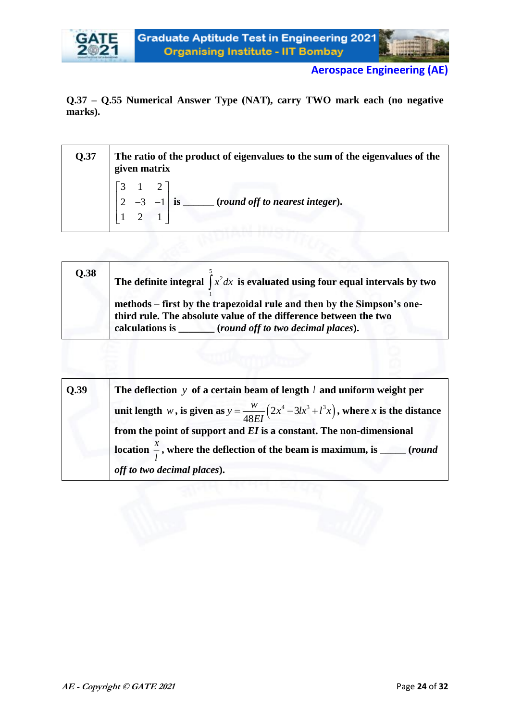

**Q.37 – Q.55 Numerical Answer Type (NAT), carry TWO mark each (no negative marks).**

| <b>Q.37</b> | The ratio of the product of eigenvalues to the sum of the eigenvalues of the<br>given matrix |
|-------------|----------------------------------------------------------------------------------------------|
|             | $_$ (round off to nearest integer).                                                          |
|             |                                                                                              |

| Q.38 | The definite integral $\int x^2 dx$ is evaluated using four equal intervals by two                                                         |
|------|--------------------------------------------------------------------------------------------------------------------------------------------|
|      | methods – first by the trapezoidal rule and then by the Simpson's one-<br>third rule. The absolute value of the difference between the two |

| O.39 | The deflection $y$ of a certain beam of length $l$ and uniform weight per                      |
|------|------------------------------------------------------------------------------------------------|
|      | unit length w, is given as $y = \frac{w}{48EI}(2x^4 - 3lx^3 + l^3x)$ , where x is the distance |
|      | from the point of support and $EI$ is a constant. The non-dimensional                          |
|      | location $\frac{x}{l}$ , where the deflection of the beam is maximum, is _____ (round          |
|      | off to two decimal places).                                                                    |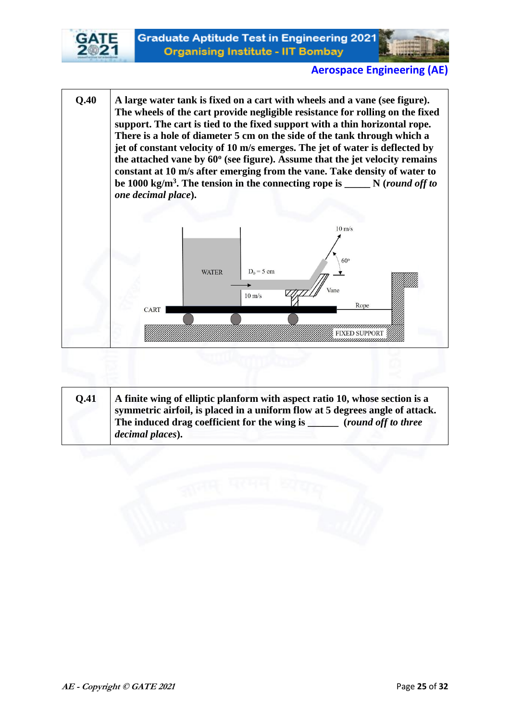



**Q.40 A large water tank is fixed on a cart with wheels and a vane (see figure). The wheels of the cart provide negligible resistance for rolling on the fixed support. The cart is tied to the fixed support with a thin horizontal rope. There is a hole of diameter 5 cm on the side of the tank through which a jet of constant velocity of 10 m/s emerges. The jet of water is deflected by the attached vane by 60<sup>o</sup> (see figure). Assume that the jet velocity remains constant at 10 m/s after emerging from the vane. Take density of water to be 1000 kg/m<sup>3</sup> . The tension in the connecting rope is \_\_\_\_\_ N (***round off to one decimal place***).**  $10 \text{ m/s}$ 60 **WATER**  $D_0 = 5$  cm Vane  $10 \text{ m/s}$ Rope CART nnnnnnnnn FIXED SUPPORT

| <b>O.41</b> | A finite wing of elliptic planform with aspect ratio 10, whose section is a<br>symmetric airfoil, is placed in a uniform flow at 5 degrees angle of attack.<br>The induced drag coefficient for the wing is<br>(round off to three<br>decimal places). |
|-------------|--------------------------------------------------------------------------------------------------------------------------------------------------------------------------------------------------------------------------------------------------------|
|             |                                                                                                                                                                                                                                                        |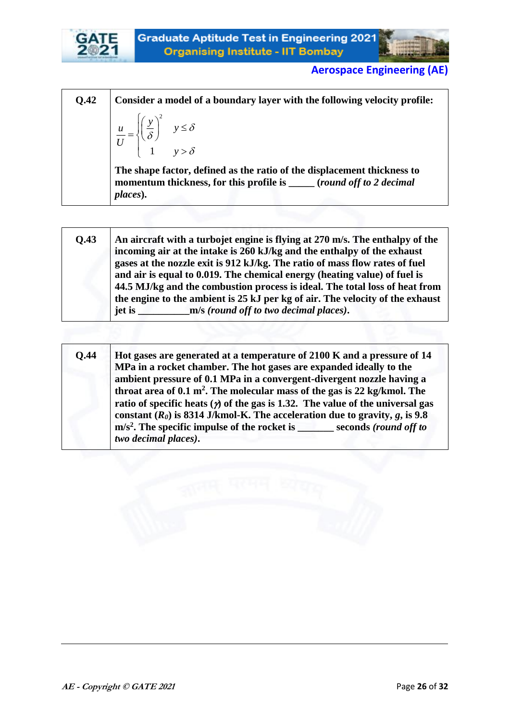



**Q.42 Consider a model of a boundary layer with the following velocity profile:** 2 1 *y*  $u = \left| \left( \frac{y}{s} \right)^2 \right| \quad y \le \delta$  $\frac{u}{U}$  $\begin{pmatrix} 1 & y > \delta \end{pmatrix}$ δ  $\left\{\begin{matrix} \delta \end{matrix}\right\}$ **The shape factor, defined as the ratio of the displacement thickness to momentum thickness, for this profile is \_\_\_\_\_ (***round off to 2 decimal places***).**

| Q.43 | An aircraft with a turbojet engine is flying at 270 m/s. The enthalpy of the<br>incoming air at the intake is 260 kJ/kg and the enthalpy of the exhaust<br>gases at the nozzle exit is 912 kJ/kg. The ratio of mass flow rates of fuel<br>and air is equal to 0.019. The chemical energy (heating value) of fuel is<br>44.5 MJ/kg and the combustion process is ideal. The total loss of heat from<br>the engine to the ambient is 25 kJ per kg of air. The velocity of the exhaust<br>m/s (round off to two decimal places).<br>$jet$ is $\qquad \qquad$ |
|------|-----------------------------------------------------------------------------------------------------------------------------------------------------------------------------------------------------------------------------------------------------------------------------------------------------------------------------------------------------------------------------------------------------------------------------------------------------------------------------------------------------------------------------------------------------------|
|------|-----------------------------------------------------------------------------------------------------------------------------------------------------------------------------------------------------------------------------------------------------------------------------------------------------------------------------------------------------------------------------------------------------------------------------------------------------------------------------------------------------------------------------------------------------------|

| <b>O.44</b> | Hot gases are generated at a temperature of 2100 K and a pressure of 14<br>MPa in a rocket chamber. The hot gases are expanded ideally to the                                                                                                     |
|-------------|---------------------------------------------------------------------------------------------------------------------------------------------------------------------------------------------------------------------------------------------------|
|             | ambient pressure of 0.1 MPa in a convergent-divergent nozzle having a<br>throat area of $0.1 \text{ m}^2$ . The molecular mass of the gas is 22 kg/kmol. The                                                                                      |
|             | ratio of specific heats $(y)$ of the gas is 1.32. The value of the universal gas<br>constant $(R_0)$ is 8314 J/kmol-K. The acceleration due to gravity, g, is 9.8<br>$m/s2$ . The specific impulse of the rocket is _______ seconds (round off to |
|             | two decimal places).                                                                                                                                                                                                                              |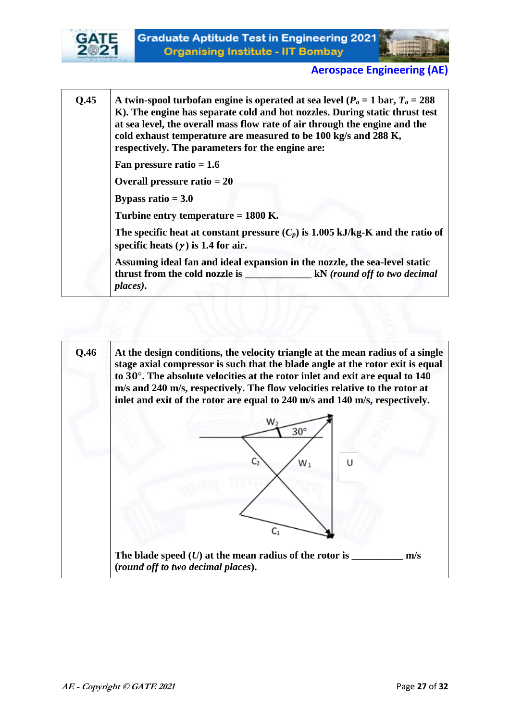



**Q.45 A** twin-spool turbofan engine is operated at sea level ( $P_a = 1$  bar,  $T_a = 288$ ) **K). The engine has separate cold and hot nozzles. During static thrust test at sea level, the overall mass flow rate of air through the engine and the cold exhaust temperature are measured to be 100 kg/s and 288 K, respectively. The parameters for the engine are: Fan pressure ratio = 1.6 Overall pressure ratio = 20 Bypass ratio = 3.0**

**Turbine entry temperature = 1800 K.**

The specific heat at constant pressure  $(C_p)$  is 1.005 kJ/kg-K and the ratio of specific heats  $(\gamma)$  is 1.4 for air.

**Assuming ideal fan and ideal expansion in the nozzle, the sea-level static thrust from the cold nozzle is \_\_\_\_\_\_\_\_\_\_\_\_\_ kN** *(round off to two decimal places)***.** 

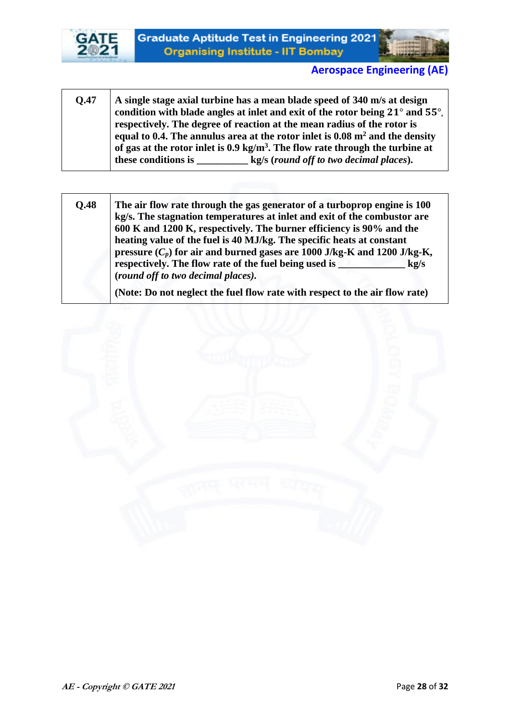



- **Q.47 A single stage axial turbine has a mean blade speed of 340 m/s at design**  condition with blade angles at inlet and exit of the rotor being 21° and 55°. **respectively. The degree of reaction at the mean radius of the rotor is equal to 0.4. The annulus area at the rotor inlet is 0.08 m<sup>2</sup> and the density of gas at the rotor inlet is 0.9 kg/m<sup>3</sup> . The flow rate through the turbine at these conditions is \_\_\_\_\_\_\_\_\_\_ kg/s (***round off to two decimal places***).**
- **Q.48 The air flow rate through the gas generator of a turboprop engine is 100 kg/s. The stagnation temperatures at inlet and exit of the combustor are 600 K and 1200 K, respectively. The burner efficiency is 90% and the heating value of the fuel is 40 MJ/kg. The specific heats at constant pressure**  $(C_p)$  for air and burned gases are 1000 J/kg-K and 1200 J/kg-K, **respectively. The flow rate of the fuel being used is \_\_\_\_\_\_\_\_\_\_\_\_\_\_\_\_ kg/s (***round off to two decimal places).*

**(Note: Do not neglect the fuel flow rate with respect to the air flow rate)** 

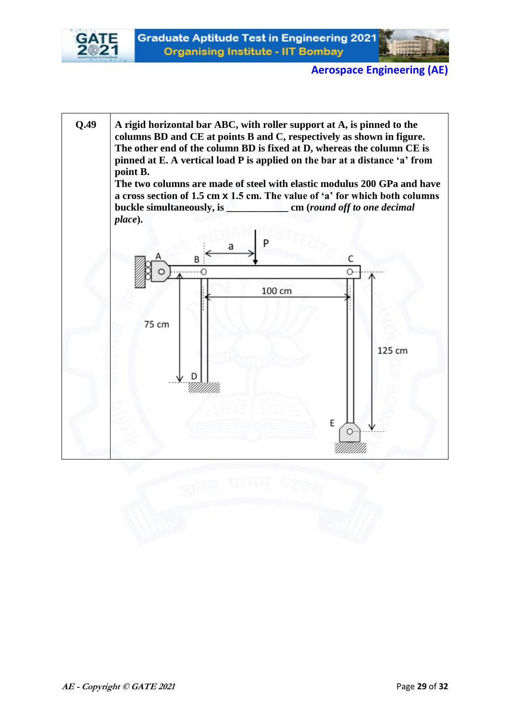



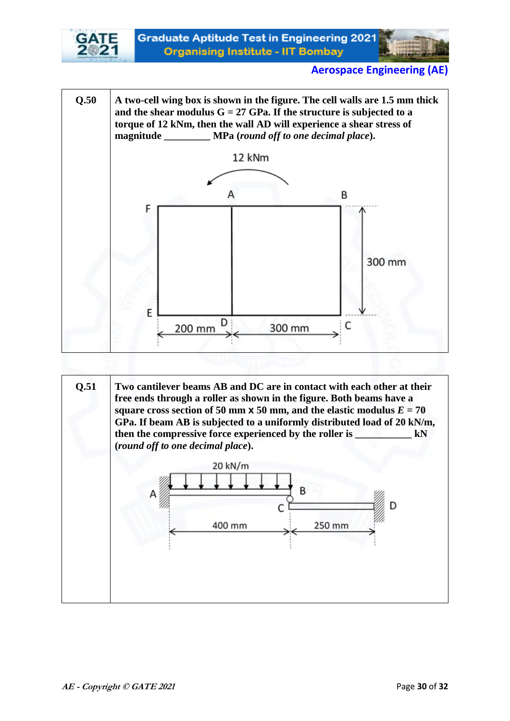



**Q.51 Two cantilever beams AB and DC are in contact with each other at their free ends through a roller as shown in the figure. Both beams have a square cross section of 50 mm**  $\times$  **50 mm, and the elastic modulus**  $E = 70$ **GPa. If beam AB is subjected to a uniformly distributed load of 20 kN/m, then the compressive force experienced by the roller is \_\_\_\_\_\_\_\_\_\_\_ kN (***round off to one decimal place***).** 20 kN/m n 400 mm 250 mm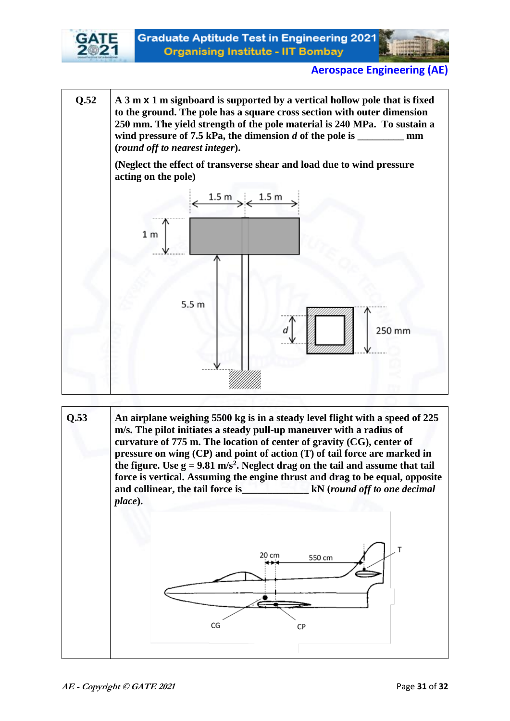



**Q.52 A 3 m x 1 m signboard is supported by a vertical hollow pole that is fixed to the ground. The pole has a square cross section with outer dimension 250 mm. The yield strength of the pole material is 240 MPa. To sustain a**  wind pressure of 7.5 kPa, the dimension *d* of the pole is mm **(***round off to nearest integer***).** 

> **(Neglect the effect of transverse shear and load due to wind pressure acting on the pole)**